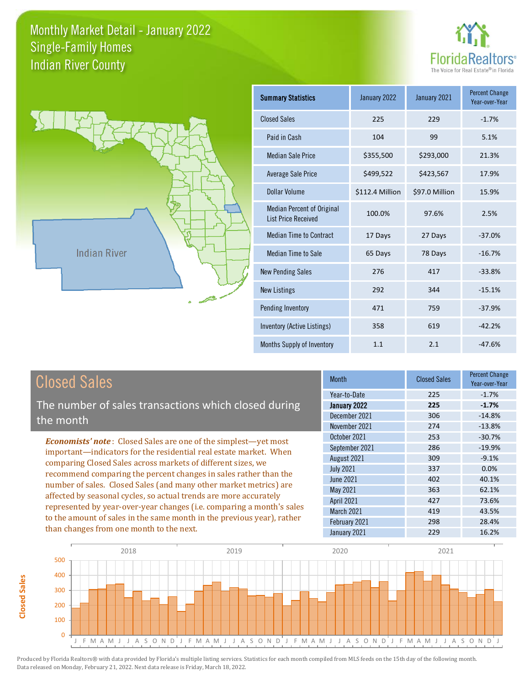



**Closed Sales**

**Closed Sales** 

| <b>Summary Statistics</b>                                       | January 2022    | January 2021   | <b>Percent Change</b><br>Year-over-Year |
|-----------------------------------------------------------------|-----------------|----------------|-----------------------------------------|
| <b>Closed Sales</b>                                             | 225             | 229            | $-1.7%$                                 |
| Paid in Cash                                                    | 104             | 99             | 5.1%                                    |
| <b>Median Sale Price</b>                                        | \$355,500       | \$293,000      | 21.3%                                   |
| Average Sale Price                                              | \$499,522       | \$423,567      | 17.9%                                   |
| Dollar Volume                                                   | \$112.4 Million | \$97.0 Million | 15.9%                                   |
| <b>Median Percent of Original</b><br><b>List Price Received</b> | 100.0%          | 97.6%          | 2.5%                                    |
| <b>Median Time to Contract</b>                                  | 17 Days         | 27 Days        | $-37.0%$                                |
| Median Time to Sale                                             | 65 Days         | 78 Days        | $-16.7%$                                |
| <b>New Pending Sales</b>                                        | 276             | 417            | $-33.8%$                                |
| <b>New Listings</b>                                             | 292             | 344            | $-15.1%$                                |
| Pending Inventory                                               | 471             | 759            | $-37.9%$                                |
| Inventory (Active Listings)                                     | 358             | 619            | $-42.2%$                                |
| Months Supply of Inventory                                      | 1.1             | 2.1            | $-47.6%$                                |

| <b>Closed Sales</b>                                                    | <b>Month</b>      | <b>Closed Sales</b> | <b>Percent Change</b><br>Year-over-Year |
|------------------------------------------------------------------------|-------------------|---------------------|-----------------------------------------|
|                                                                        | Year-to-Date      | 225                 | $-1.7%$                                 |
| The number of sales transactions which closed during                   | January 2022      | 225                 | $-1.7%$                                 |
| the month                                                              | December 2021     | 306                 | $-14.8%$                                |
|                                                                        | November 2021     | 274                 | $-13.8%$                                |
| <b>Economists' note:</b> Closed Sales are one of the simplest—yet most | October 2021      | 253                 | $-30.7%$                                |
| important—indicators for the residential real estate market. When      | September 2021    | 286                 | $-19.9%$                                |
| comparing Closed Sales across markets of different sizes, we           | August 2021       | 309                 | $-9.1%$                                 |
| recommend comparing the percent changes in sales rather than the       | <b>July 2021</b>  | 337                 | $0.0\%$                                 |
|                                                                        | June 2021         | 402                 | 40.1%                                   |
| number of sales. Closed Sales (and many other market metrics) are      | May 2021          | 363                 | 62.1%                                   |
| affected by seasonal cycles, so actual trends are more accurately      | April 2021        | 427                 | 73.6%                                   |
| represented by year-over-year changes (i.e. comparing a month's sales  | <b>March 2021</b> | 419                 | 43.5%                                   |
| to the amount of sales in the same month in the previous year), rather | February 2021     | 298                 | 28.4%                                   |
| than changes from one month to the next.                               | January 2021      | 229                 | 16.2%                                   |

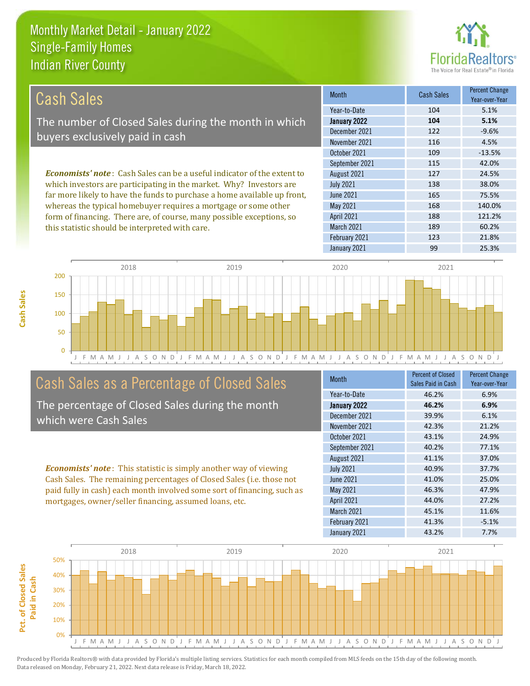this statistic should be interpreted with care.



189 60.2%

| Cash Sales                                                                     | <b>Month</b>      | <b>Cash Sales</b> | <b>Percent Change</b><br>Year-over-Year |
|--------------------------------------------------------------------------------|-------------------|-------------------|-----------------------------------------|
|                                                                                | Year-to-Date      | 104               | 5.1%                                    |
| The number of Closed Sales during the month in which                           | January 2022      | 104               | 5.1%                                    |
| buyers exclusively paid in cash                                                | December 2021     | 122               | $-9.6%$                                 |
|                                                                                | November 2021     | 116               | 4.5%                                    |
|                                                                                | October 2021      | 109               | $-13.5%$                                |
|                                                                                | September 2021    | 115               | 42.0%                                   |
| <b>Economists' note:</b> Cash Sales can be a useful indicator of the extent to | August 2021       | 127               | 24.5%                                   |
| which investors are participating in the market. Why? Investors are            | <b>July 2021</b>  | 138               | 38.0%                                   |
| far more likely to have the funds to purchase a home available up front,       | <b>June 2021</b>  | 165               | 75.5%                                   |
| whereas the typical homebuyer requires a mortgage or some other                | May 2021          | 168               | 140.0%                                  |
| form of financing. There are, of course, many possible exceptions, so          | <b>April 2021</b> | 188               | 121.2%                                  |



March 2021

## Cash Sales as a Percentage of Closed Sales

The percentage of Closed Sales during the month which were Cash Sales

*Economists' note* : This statistic is simply another way of viewing Cash Sales. The remaining percentages of Closed Sales (i.e. those not paid fully in cash) each month involved some sort of financing, such as mortgages, owner/seller financing, assumed loans, etc.

| <b>Month</b>     | <b>Percent of Closed</b><br>Sales Paid in Cash | <b>Percent Change</b><br>Year-over-Year |
|------------------|------------------------------------------------|-----------------------------------------|
| Year-to-Date     | 46.2%                                          | 6.9%                                    |
| January 2022     | 46.2%                                          | 6.9%                                    |
| December 2021    | 39.9%                                          | 6.1%                                    |
| November 2021    | 42.3%                                          | 21.2%                                   |
| October 2021     | 43.1%                                          | 24.9%                                   |
| September 2021   | 40.2%                                          | 77.1%                                   |
| August 2021      | 41.1%                                          | 37.0%                                   |
| <b>July 2021</b> | 40.9%                                          | 37.7%                                   |
| June 2021        | 41.0%                                          | 25.0%                                   |
| May 2021         | 46.3%                                          | 47.9%                                   |
| April 2021       | 44.0%                                          | 27.2%                                   |
| March 2021       | 45.1%                                          | 11.6%                                   |
| February 2021    | 41.3%                                          | $-5.1%$                                 |
| January 2021     | 43.2%                                          | 7.7%                                    |

February 2021 123 21.8%

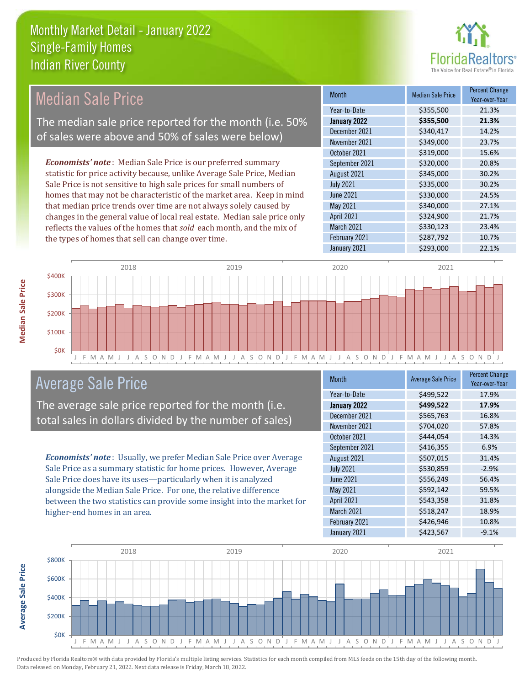

#### Month Median Sale Price Percent Change Year-over-Year January 2022 **\$355,500 21.3%** Year-to-Date \$355,500 21.3% June 2021 **\$330,000** 24.5% December 2021 **\$340,417** 14.2% November 2021 <br>  $$349,000$  23.7% August 2021 **\$345,000** 30.2% July 2021 **\$335,000** \$335,000 30.2% October 2021 **\$319,000** 15.6% September 2021 **\$320,000** 20.8% May 2021 **\$340,000** \$340,000 27.1% April 2021 **\$324,900** 21.7% March 2021 **\$330,123** 23.4% February 2021 **\$287,792** 10.7% January 2021 **\$293,000** 22.1% *Economists' note* : Median Sale Price is our preferred summary statistic for price activity because, unlike Average Sale Price, Median Sale Price is not sensitive to high sale prices for small numbers of homes that may not be characteristic of the market area. Keep in mind that median price trends over time are not always solely caused by changes in the general value of local real estate. Median sale price only reflects the values of the homes that *sold* each month, and the mix of the types of homes that sell can change over time. Median Sale Price The median sale price reported for the month (i.e. 50% of sales were above and 50% of sales were below)



## Average Sale Price

The average sale price reported for the month (i.e. total sales in dollars divided by the number of sales)

*Economists' note* : Usually, we prefer Median Sale Price over Average Sale Price as a summary statistic for home prices. However, Average Sale Price does have its uses—particularly when it is analyzed alongside the Median Sale Price. For one, the relative difference between the two statistics can provide some insight into the market for higher-end homes in an area.

| <b>Month</b>     | <b>Average Sale Price</b> | <b>Percent Change</b><br>Year-over-Year |
|------------------|---------------------------|-----------------------------------------|
| Year-to-Date     | \$499,522                 | 17.9%                                   |
| January 2022     | \$499,522                 | 17.9%                                   |
| December 2021    | \$565,763                 | 16.8%                                   |
| November 2021    | \$704,020                 | 57.8%                                   |
| October 2021     | \$444,054                 | 14.3%                                   |
| September 2021   | \$416,355                 | 6.9%                                    |
| August 2021      | \$507,015                 | 31.4%                                   |
| <b>July 2021</b> | \$530,859                 | $-2.9%$                                 |
| <b>June 2021</b> | \$556,249                 | 56.4%                                   |
| May 2021         | \$592,142                 | 59.5%                                   |
| April 2021       | \$543,358                 | 31.8%                                   |
| March 2021       | \$518,247                 | 18.9%                                   |
| February 2021    | \$426,946                 | 10.8%                                   |
| January 2021     | \$423,567                 | $-9.1%$                                 |



Produced by Florida Realtors® with data provided by Florida's multiple listing services. Statistics for each month compiled from MLS feeds on the 15th day of the following month. Data released on Monday, February 21, 2022. Next data release is Friday, March 18, 2022.

**Average Sale Price**

**Average Sale Price**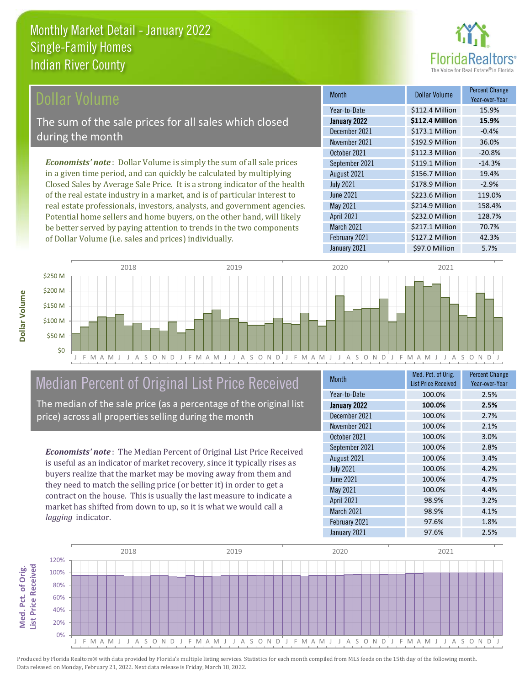

## Dollar Volume

The sum of the sale prices for all sales which closed during the month

*Economists' note* : Dollar Volume is simply the sum of all sale prices in a given time period, and can quickly be calculated by multiplying Closed Sales by Average Sale Price. It is a strong indicator of the health of the real estate industry in a market, and is of particular interest to real estate professionals, investors, analysts, and government agencies. Potential home sellers and home buyers, on the other hand, will likely be better served by paying attention to trends in the two components of Dollar Volume (i.e. sales and prices) individually.

| <b>Month</b>     | Dollar Volume   | <b>Percent Change</b><br>Year-over-Year |
|------------------|-----------------|-----------------------------------------|
| Year-to-Date     | \$112.4 Million | 15.9%                                   |
| January 2022     | \$112.4 Million | 15.9%                                   |
| December 2021    | \$173.1 Million | $-0.4%$                                 |
| November 2021    | \$192.9 Million | 36.0%                                   |
| October 2021     | \$112.3 Million | $-20.8%$                                |
| September 2021   | \$119.1 Million | $-14.3%$                                |
| August 2021      | \$156.7 Million | 19.4%                                   |
| <b>July 2021</b> | \$178.9 Million | $-2.9%$                                 |
| <b>June 2021</b> | \$223.6 Million | 119.0%                                  |
| May 2021         | \$214.9 Million | 158.4%                                  |
| April 2021       | \$232.0 Million | 128.7%                                  |
| March 2021       | \$217.1 Million | 70.7%                                   |
| February 2021    | \$127.2 Million | 42.3%                                   |
| January 2021     | \$97.0 Million  | 5.7%                                    |



## Median Percent of Original List Price Received

The median of the sale price (as a percentage of the original list price) across all properties selling during the month

*Economists' note* : The Median Percent of Original List Price Received is useful as an indicator of market recovery, since it typically rises as buyers realize that the market may be moving away from them and they need to match the selling price (or better it) in order to get a contract on the house. This is usually the last measure to indicate a market has shifted from down to up, so it is what we would call a *lagging* indicator.

| <b>Month</b>     | Med. Pct. of Orig.<br><b>List Price Received</b> | <b>Percent Change</b><br>Year-over-Year |
|------------------|--------------------------------------------------|-----------------------------------------|
| Year-to-Date     | 100.0%                                           | 2.5%                                    |
| January 2022     | 100.0%                                           | 2.5%                                    |
| December 2021    | 100.0%                                           | 2.7%                                    |
| November 2021    | 100.0%                                           | 2.1%                                    |
| October 2021     | 100.0%                                           | 3.0%                                    |
| September 2021   | 100.0%                                           | 2.8%                                    |
| August 2021      | 100.0%                                           | 3.4%                                    |
| <b>July 2021</b> | 100.0%                                           | 4.2%                                    |
| <b>June 2021</b> | 100.0%                                           | 4.7%                                    |
| <b>May 2021</b>  | 100.0%                                           | 4.4%                                    |
| April 2021       | 98.9%                                            | 3.2%                                    |
| March 2021       | 98.9%                                            | 4.1%                                    |
| February 2021    | 97.6%                                            | 1.8%                                    |
| January 2021     | 97.6%                                            | 2.5%                                    |



Produced by Florida Realtors® with data provided by Florida's multiple listing services. Statistics for each month compiled from MLS feeds on the 15th day of the following month. Data released on Monday, February 21, 2022. Next data release is Friday, March 18, 2022.

**Med. Pct. of Orig.** 

Med. Pct. of Orig.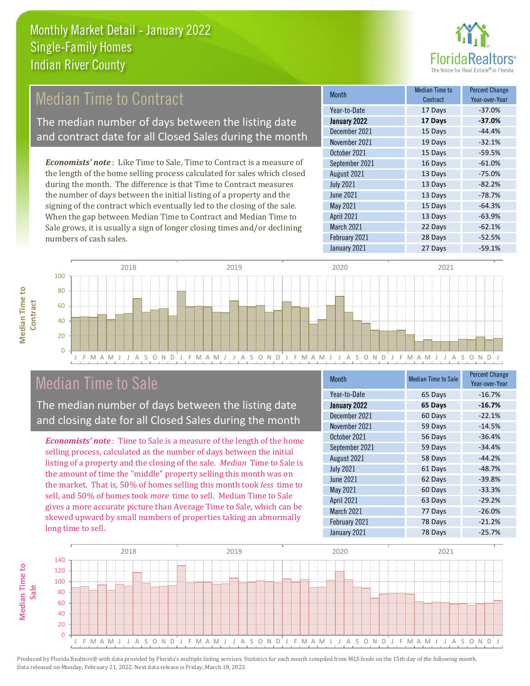

## Median Time to Contract

The median number of days between the listing date and contract date for all Closed Sales during the month

*Economists' note* : Like Time to Sale, Time to Contract is a measure of the length of the home selling process calculated for sales which closed during the month. The difference is that Time to Contract measures the number of days between the initial listing of a property and the signing of the contract which eventually led to the closing of the sale. When the gap between Median Time to Contract and Median Time to Sale grows, it is usually a sign of longer closing times and/or declining numbers of cash sales.

| <b>Month</b>     | <b>Median Time to</b><br>Contract | <b>Percent Change</b><br>Year-over-Year |
|------------------|-----------------------------------|-----------------------------------------|
| Year-to-Date     | 17 Days                           | $-37.0%$                                |
| January 2022     | 17 Days                           | $-37.0%$                                |
| December 2021    | 15 Days                           | $-44.4%$                                |
| November 2021    | 19 Days                           | $-32.1%$                                |
| October 2021     | 15 Days                           | $-59.5%$                                |
| September 2021   | 16 Days                           | $-61.0%$                                |
| August 2021      | 13 Days                           | $-75.0%$                                |
| <b>July 2021</b> | 13 Days                           | $-82.2%$                                |
| <b>June 2021</b> | 13 Days                           | $-78.7%$                                |
| <b>May 2021</b>  | 15 Days                           | $-64.3%$                                |
| April 2021       | 13 Days                           | $-63.9%$                                |
| March 2021       | 22 Days                           | $-62.1%$                                |
| February 2021    | 28 Days                           | $-52.5%$                                |
| January 2021     | 27 Days                           | $-59.1%$                                |



#### J F M A M J J A S O N D J F M A M J J A S O N D J F M A M J J A S O N D J F M A M J J A S O N D J

## Median Time to Sale

The median number of days between the listing date and closing date for all Closed Sales during the month

*Economists' note* : Time to Sale is a measure of the length of the home selling process, calculated as the number of days between the initial listing of a property and the closing of the sale. *Median* Time to Sale is the amount of time the "middle" property selling this month was on the market. That is, 50% of homes selling this month took *less* time to sell, and 50% of homes took *more* time to sell. Median Time to Sale gives a more accurate picture than Average Time to Sale, which can be skewed upward by small numbers of properties taking an abnormally long time to sell.

| <b>Month</b>     | <b>Median Time to Sale</b> | <b>Percent Change</b><br>Year-over-Year |
|------------------|----------------------------|-----------------------------------------|
| Year-to-Date     | 65 Days                    | $-16.7%$                                |
| January 2022     | 65 Days                    | $-16.7%$                                |
| December 2021    | 60 Days                    | $-22.1%$                                |
| November 2021    | 59 Days                    | $-14.5%$                                |
| October 2021     | 56 Days                    | $-36.4%$                                |
| September 2021   | 59 Days                    | $-34.4%$                                |
| August 2021      | 58 Days                    | $-44.2%$                                |
| <b>July 2021</b> | 61 Days                    | $-48.7%$                                |
| <b>June 2021</b> | 62 Days                    | $-39.8%$                                |
| May 2021         | 60 Days                    | $-33.3%$                                |
| April 2021       | 63 Days                    | $-29.2%$                                |
| March 2021       | 77 Days                    | $-26.0%$                                |
| February 2021    | 78 Days                    | $-21.2%$                                |
| January 2021     | 78 Days                    | $-25.7%$                                |

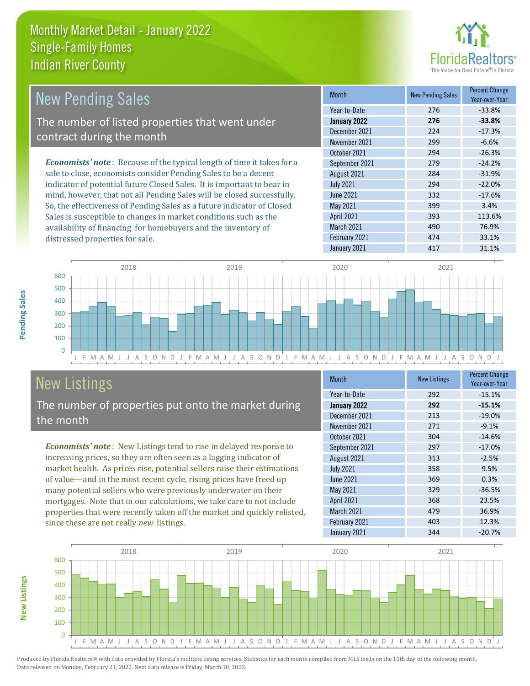

| New Pending Sales                                                             | <b>Month</b>      | <b>New Pending Sales</b> | <b>Percent Change</b><br>Year-over-Year |
|-------------------------------------------------------------------------------|-------------------|--------------------------|-----------------------------------------|
|                                                                               | Year-to-Date      | 276                      | $-33.8%$                                |
| The number of listed properties that went under                               | January 2022      | 276                      | $-33.8%$                                |
| contract during the month                                                     | December 2021     | 224                      | $-17.3%$                                |
|                                                                               | November 2021     | 299                      | $-6.6%$                                 |
|                                                                               | October 2021      | 294                      | $-26.3%$                                |
| <b>Economists' note:</b> Because of the typical length of time it takes for a | September 2021    | 279                      | $-24.2%$                                |
| sale to close, economists consider Pending Sales to be a decent               | August 2021       | 284                      | $-31.9%$                                |
| indicator of potential future Closed Sales. It is important to bear in        | <b>July 2021</b>  | 294                      | $-22.0%$                                |
| mind, however, that not all Pending Sales will be closed successfully.        | June 2021         | 332                      | $-17.6%$                                |
| So, the effectiveness of Pending Sales as a future indicator of Closed        | May 2021          | 399                      | 3.4%                                    |
| Sales is susceptible to changes in market conditions such as the              | <b>April 2021</b> | 393                      | 113.6%                                  |



## New Listings

distressed properties for sale.

The number of properties put onto the market during the month

availability of financing for homebuyers and the inventory of

*Economists' note* : New Listings tend to rise in delayed response to increasing prices, so they are often seen as a lagging indicator of market health. As prices rise, potential sellers raise their estimations of value—and in the most recent cycle, rising prices have freed up many potential sellers who were previously underwater on their mortgages. Note that in our calculations, we take care to not include properties that were recently taken off the market and quickly relisted, since these are not really *new* listings.

| <b>Month</b>     | <b>New Listings</b> | <b>Percent Change</b><br>Year-over-Year |
|------------------|---------------------|-----------------------------------------|
| Year-to-Date     | 292                 | $-15.1%$                                |
| January 2022     | 292                 | $-15.1%$                                |
| December 2021    | 213                 | $-19.0%$                                |
| November 2021    | 271                 | $-9.1%$                                 |
| October 2021     | 304                 | $-14.6%$                                |
| September 2021   | 297                 | $-17.0%$                                |
| August 2021      | 313                 | $-2.5%$                                 |
| <b>July 2021</b> | 358                 | 9.5%                                    |
| <b>June 2021</b> | 369                 | 0.3%                                    |
| May 2021         | 329                 | $-36.5%$                                |
| April 2021       | 368                 | 23.5%                                   |
| March 2021       | 479                 | 36.9%                                   |
| February 2021    | 403                 | 12.3%                                   |
| January 2021     | 344                 | $-20.7%$                                |

March 2021 **490** 490 76.9% February 2021 **474** 33.1% January 2021 **417** 31.1%



Pending Sales

**New Listings**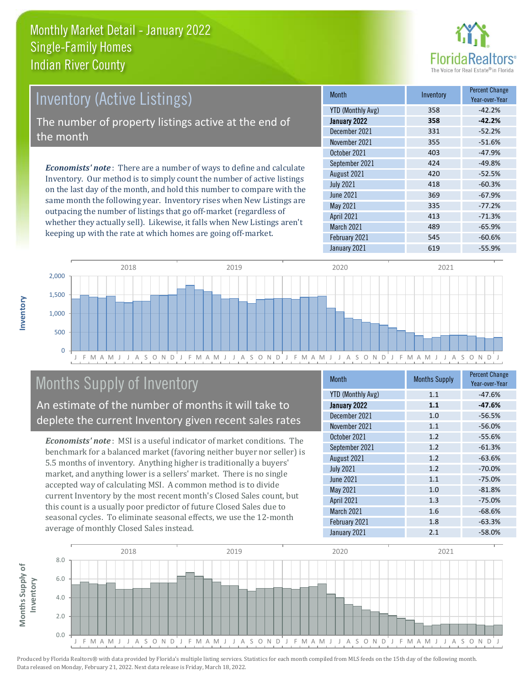

## Inventory (Active Listings) The number of property listings active at the end of the month

*Economists' note* : There are a number of ways to define and calculate Inventory. Our method is to simply count the number of active listings on the last day of the month, and hold this number to compare with the same month the following year. Inventory rises when New Listings are outpacing the number of listings that go off-market (regardless of whether they actually sell). Likewise, it falls when New Listings aren't keeping up with the rate at which homes are going off-market.

| <b>Month</b>             | Inventory | <b>Percent Change</b><br>Year-over-Year |
|--------------------------|-----------|-----------------------------------------|
| <b>YTD (Monthly Avg)</b> | 358       | $-42.2%$                                |
| January 2022             | 358       | $-42.2%$                                |
| December 2021            | 331       | $-52.2%$                                |
| November 2021            | 355       | $-51.6%$                                |
| October 2021             | 403       | $-47.9%$                                |
| September 2021           | 424       | $-49.8%$                                |
| August 2021              | 420       | $-52.5%$                                |
| <b>July 2021</b>         | 418       | $-60.3%$                                |
| <b>June 2021</b>         | 369       | $-67.9%$                                |
| <b>May 2021</b>          | 335       | $-77.2%$                                |
| <b>April 2021</b>        | 413       | $-71.3%$                                |
| March 2021               | 489       | $-65.9%$                                |
| February 2021            | 545       | $-60.6%$                                |
| January 2021             | 619       | $-55.9%$                                |



## Months Supply of Inventory

An estimate of the number of months it will take to deplete the current Inventory given recent sales rates

*Economists' note* : MSI is a useful indicator of market conditions. The benchmark for a balanced market (favoring neither buyer nor seller) is 5.5 months of inventory. Anything higher is traditionally a buyers' market, and anything lower is a sellers' market. There is no single accepted way of calculating MSI. A common method is to divide current Inventory by the most recent month's Closed Sales count, but this count is a usually poor predictor of future Closed Sales due to seasonal cycles. To eliminate seasonal effects, we use the 12-month average of monthly Closed Sales instead.

| Month                    | <b>Months Supply</b> | <b>Percent Change</b><br>Year-over-Year |
|--------------------------|----------------------|-----------------------------------------|
| <b>YTD (Monthly Avg)</b> | 1.1                  | $-47.6%$                                |
| January 2022             | 1.1                  | $-47.6%$                                |
| December 2021            | 1.0                  | $-56.5%$                                |
| November 2021            | 1.1                  | $-56.0%$                                |
| October 2021             | 1.2                  | $-55.6%$                                |
| September 2021           | 1.2                  | $-61.3%$                                |
| August 2021              | 1.2                  | $-63.6%$                                |
| <b>July 2021</b>         | 1.2                  | $-70.0%$                                |
| <b>June 2021</b>         | 1.1                  | $-75.0%$                                |
| May 2021                 | 1.0                  | $-81.8%$                                |
| April 2021               | 1.3                  | $-75.0%$                                |
| March 2021               | 1.6                  | $-68.6%$                                |
| February 2021            | 1.8                  | $-63.3%$                                |
| January 2021             | 2.1                  | $-58.0%$                                |

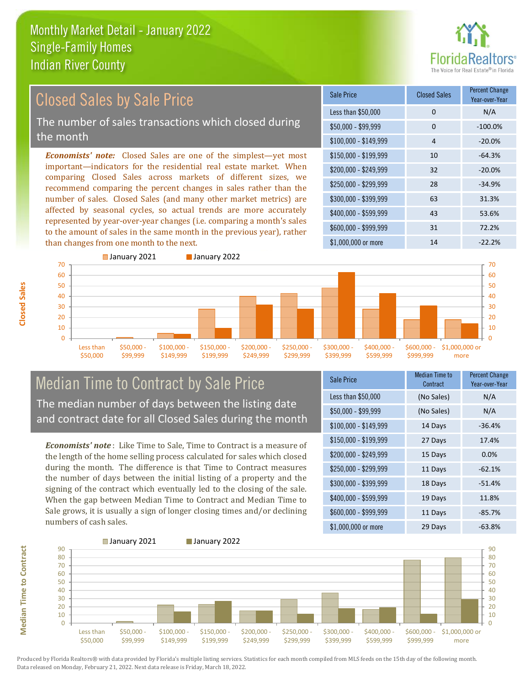

#### *Economists' note:* Closed Sales are one of the simplest—yet most important—indicators for the residential real estate market. When comparing Closed Sales across markets of different sizes, we recommend comparing the percent changes in sales rather than the number of sales. Closed Sales (and many other market metrics) are affected by seasonal cycles, so actual trends are more accurately represented by year-over-year changes (i.e. comparing a month's sales to the amount of sales in the same month in the previous year), rather than changes from one month to the next. \$1,000,000 or more 14 14 -22.2% \$250,000 - \$299,999 28 -34.9% \$300,000 - \$399,999 63 31.3% \$400,000 - \$599,999 43 53.6% \$600,000 - \$999,999 31 72.2% \$150,000 - \$199,999 10 -64.3% \$200,000 - \$249,999 32 -20.0%  $$100,000 - $149,999$  4 -20.0% Sale Price Closed Sales Percent Change Year-over-Year Less than \$50,000 0 0 N/A  $$50.000 - $99.999$  0  $-100.0\%$ 50 60 70 ■ January 2021 **■ January 2022**  $40$ 50 60 70 Closed Sales by Sale Price The number of sales transactions which closed during the month

#### $\Omega$ 10 20 30  $40$ Less than \$50,000 \$50,000 - \$99,999 \$100,000 - \$149,999 \$150,000 - \$199,999 \$200,000 - \$249,999 \$250,000 - \$299,999 \$300,000 - \$399,999 \$400,000 - \$599,999 \$600,000 - \$999,999 \$1,000,000 or more

## Median Time to Contract by Sale Price The median number of days between the listing date and contract date for all Closed Sales during the month

*Economists' note* : Like Time to Sale, Time to Contract is a measure of the length of the home selling process calculated for sales which closed during the month. The difference is that Time to Contract measures the number of days between the initial listing of a property and the signing of the contract which eventually led to the closing of the sale. When the gap between Median Time to Contract and Median Time to Sale grows, it is usually a sign of longer closing times and/or declining numbers of cash sales.

| Sale Price            | <b>Median Time to</b><br>Contract | <b>Percent Change</b><br>Year-over-Year |
|-----------------------|-----------------------------------|-----------------------------------------|
| Less than \$50,000    | (No Sales)                        | N/A                                     |
| $$50,000 - $99,999$   | (No Sales)                        | N/A                                     |
| $$100,000 - $149,999$ | 14 Days                           | $-36.4%$                                |
| $$150,000 - $199,999$ | 27 Days                           | 17.4%                                   |
| \$200,000 - \$249,999 | 15 Days                           | $0.0\%$                                 |
| \$250,000 - \$299,999 | 11 Days                           | $-62.1%$                                |
| \$300,000 - \$399,999 | 18 Days                           | $-51.4%$                                |
| \$400,000 - \$599,999 | 19 Days                           | 11.8%                                   |
| \$600,000 - \$999,999 | 11 Days                           | $-85.7%$                                |
| \$1,000,000 or more   | 29 Days                           | $-63.8%$                                |



**Median Time to Contract Median Time to Contract**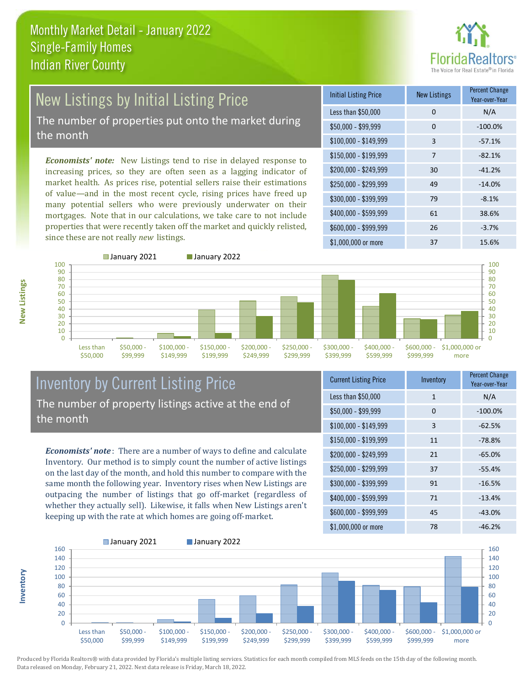

# New Listings by Initial Listing Price

The number of properties put onto the market during the month

*Economists' note:* New Listings tend to rise in delayed response to increasing prices, so they are often seen as a lagging indicator of market health. As prices rise, potential sellers raise their estimations of value—and in the most recent cycle, rising prices have freed up many potential sellers who were previously underwater on their mortgages. Note that in our calculations, we take care to not include properties that were recently taken off the market and quickly relisted, since these are not really *new* listings.

| <b>Initial Listing Price</b> | <b>New Listings</b> | <b>Percent Change</b><br>Year-over-Year |
|------------------------------|---------------------|-----------------------------------------|
| Less than \$50,000           | 0                   | N/A                                     |
| $$50,000 - $99,999$          | 0                   | $-100.0%$                               |
| $$100,000 - $149,999$        | 3                   | $-57.1%$                                |
| $$150,000 - $199,999$        | 7                   | $-82.1%$                                |
| \$200,000 - \$249,999        | 30                  | $-41.2%$                                |
| \$250,000 - \$299,999        | 49                  | $-14.0%$                                |
| \$300,000 - \$399,999        | 79                  | $-8.1%$                                 |
| \$400,000 - \$599,999        | 61                  | 38.6%                                   |
| \$600,000 - \$999,999        | 26                  | $-3.7%$                                 |
| $$1,000,000$ or more         | 37                  | 15.6%                                   |



**Inventory**



## Inventory by Current Listing Price The number of property listings active at the end of the month

*Economists' note* : There are a number of ways to define and calculate Inventory. Our method is to simply count the number of active listings on the last day of the month, and hold this number to compare with the same month the following year. Inventory rises when New Listings are outpacing the number of listings that go off-market (regardless of whether they actually sell). Likewise, it falls when New Listings aren't keeping up with the rate at which homes are going off-market.

| <b>Current Listing Price</b> | Inventory | <b>Percent Change</b><br>Year-over-Year |
|------------------------------|-----------|-----------------------------------------|
| Less than \$50,000           | 1         | N/A                                     |
| $$50,000 - $99,999$          | 0         | $-100.0%$                               |
| $$100,000 - $149,999$        | 3         | $-62.5%$                                |
| $$150,000 - $199,999$        | 11        | $-78.8%$                                |
| \$200,000 - \$249,999        | 21        | $-65.0%$                                |
| \$250,000 - \$299,999        | 37        | $-55.4%$                                |
| \$300,000 - \$399,999        | 91        | $-16.5%$                                |
| \$400,000 - \$599,999        | 71        | $-13.4%$                                |
| \$600,000 - \$999,999        | 45        | $-43.0%$                                |
| \$1,000,000 or more          | 78        | $-46.2%$                                |